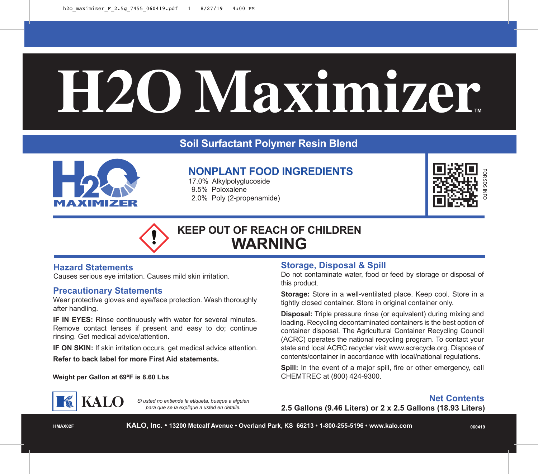# $H2O$  Maximizer.

## **Soil Surfactant Polymer Resin Blend**



# **NONPLANT FOOD INGREDIENTS**

17.0% Alkylpolyglucoside 9.5% Poloxalene 2.0% Poly (2-propenamide)



# **KEEP OUT OF REACH OF CHILDREN WARNING**

### **Hazard Statements**

Causes serious eye irritation. Causes mild skin irritation.

### **Precautionary Statements**

Wear protective gloves and eye/face protection. Wash thoroughly after handling.

**IF IN EYES:** Rinse continuously with water for several minutes. Remove contact lenses if present and easy to do; continue rinsing. Get medical advice/attention.

**IF ON SKIN:** If skin irritation occurs, get medical advice attention.

**Refer to back label for more First Aid statements.**

**Weight per Gallon at 69°F is 8.60 Lbs** 

### **Storage, Disposal & Spill**

Do not contaminate water, food or feed by storage or disposal of this product.

**Storage:** Store in a well-ventilated place. Keep cool. Store in a tightly closed container. Store in original container only.

**Disposal:** Triple pressure rinse (or equivalent) during mixing and loading. Recycling decontaminated containers is the best option of container disposal. The Agricultural Container Recycling Council (ACRC) operates the national recycling program. To contact your state and local ACRC recycler visit www.acrecycle.org. Dispose of contents/container in accordance with local/national regulations.

**Spill:** In the event of a major spill, fire or other emergency, call CHEMTREC at (800) 424-9300.



*Si usted no entiende la etiqueta, busque a alguien para que se la explique a usted en detalle.*

**Net Contents**

**2.5 Gallons (9.46 Liters) or 2 x 2.5 Gallons (18.93 Liters)**

**HMAX02F**

**KALO, Inc. • 13200 Metcalf Avenue • Overland Park, KS 66213 • 1-800-255-5196 • www.kalo.com**

**060419**